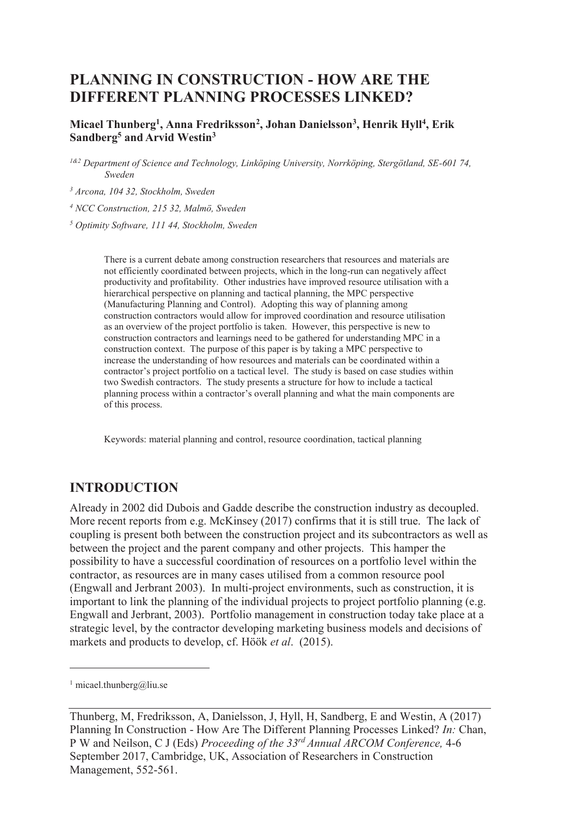# **PLANNING IN CONSTRUCTION - HOW ARE THE DIFFERENT PLANNING PROCESSES LINKED?**

#### **Micael Thunberg<sup>1</sup> , Anna Fredriksson<sup>2</sup> , Johan Danielsson<sup>3</sup> , Henrik Hyll<sup>4</sup> , Erik Sandberg<sup>5</sup> and Arvid Westin<sup>3</sup>**

*1&2 Department of Science and Technology, Linköping University, Norrköping, Stergötland, SE-601 74, Sweden* 

*3 Arcona, 104 32, Stockholm, Sweden* 

*4 NCC Construction, 215 32, Malmö, Sweden* 

*5 Optimity Software, 111 44, Stockholm, Sweden* 

There is a current debate among construction researchers that resources and materials are not efficiently coordinated between projects, which in the long-run can negatively affect productivity and profitability. Other industries have improved resource utilisation with a hierarchical perspective on planning and tactical planning, the MPC perspective (Manufacturing Planning and Control). Adopting this way of planning among construction contractors would allow for improved coordination and resource utilisation as an overview of the project portfolio is taken. However, this perspective is new to construction contractors and learnings need to be gathered for understanding MPC in a construction context. The purpose of this paper is by taking a MPC perspective to increase the understanding of how resources and materials can be coordinated within a contractor's project portfolio on a tactical level. The study is based on case studies within two Swedish contractors. The study presents a structure for how to include a tactical planning process within a contractor's overall planning and what the main components are of this process.

Keywords: material planning and control, resource coordination, tactical planning

### **INTRODUCTION**

Already in 2002 did Dubois and Gadde describe the construction industry as decoupled. More recent reports from e.g. McKinsey (2017) confirms that it is still true. The lack of coupling is present both between the construction project and its subcontractors as well as between the project and the parent company and other projects. This hamper the possibility to have a successful coordination of resources on a portfolio level within the contractor, as resources are in many cases utilised from a common resource pool (Engwall and Jerbrant 2003). In multi-project environments, such as construction, it is important to link the planning of the individual projects to project portfolio planning (e.g. Engwall and Jerbrant, 2003). Portfolio management in construction today take place at a strategic level, by the contractor developing marketing business models and decisions of markets and products to develop, cf. Höök *et al*. (2015).

 $\overline{a}$ 

<sup>1</sup> micael.thunberg@liu.se

Thunberg, M, Fredriksson, A, Danielsson, J, Hyll, H, Sandberg, E and Westin, A (2017) Planning In Construction - How Are The Different Planning Processes Linked? *In:* Chan, P W and Neilson, C J (Eds) *Proceeding of the 33rd Annual ARCOM Conference,* 4-6 September 2017, Cambridge, UK, Association of Researchers in Construction Management, 552-561.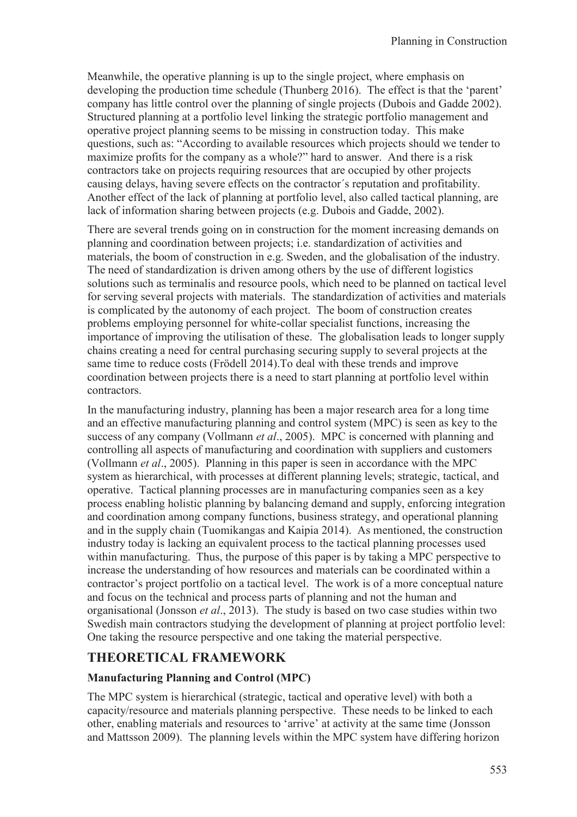Meanwhile, the operative planning is up to the single project, where emphasis on developing the production time schedule (Thunberg 2016). The effect is that the 'parent' company has little control over the planning of single projects (Dubois and Gadde 2002). Structured planning at a portfolio level linking the strategic portfolio management and operative project planning seems to be missing in construction today. This make questions, such as: "According to available resources which projects should we tender to maximize profits for the company as a whole?" hard to answer. And there is a risk contractors take on projects requiring resources that are occupied by other projects causing delays, having severe effects on the contractor´s reputation and profitability. Another effect of the lack of planning at portfolio level, also called tactical planning, are lack of information sharing between projects (e.g. Dubois and Gadde, 2002).

There are several trends going on in construction for the moment increasing demands on planning and coordination between projects; i.e. standardization of activities and materials, the boom of construction in e.g. Sweden, and the globalisation of the industry. The need of standardization is driven among others by the use of different logistics solutions such as terminalis and resource pools, which need to be planned on tactical level for serving several projects with materials. The standardization of activities and materials is complicated by the autonomy of each project. The boom of construction creates problems employing personnel for white-collar specialist functions, increasing the importance of improving the utilisation of these. The globalisation leads to longer supply chains creating a need for central purchasing securing supply to several projects at the same time to reduce costs (Frödell 2014).To deal with these trends and improve coordination between projects there is a need to start planning at portfolio level within contractors.

In the manufacturing industry, planning has been a major research area for a long time and an effective manufacturing planning and control system (MPC) is seen as key to the success of any company (Vollmann *et al*., 2005). MPC is concerned with planning and controlling all aspects of manufacturing and coordination with suppliers and customers (Vollmann *et al*., 2005). Planning in this paper is seen in accordance with the MPC system as hierarchical, with processes at different planning levels; strategic, tactical, and operative. Tactical planning processes are in manufacturing companies seen as a key process enabling holistic planning by balancing demand and supply, enforcing integration and coordination among company functions, business strategy, and operational planning and in the supply chain (Tuomikangas and Kaipia 2014). As mentioned, the construction industry today is lacking an equivalent process to the tactical planning processes used within manufacturing. Thus, the purpose of this paper is by taking a MPC perspective to increase the understanding of how resources and materials can be coordinated within a contractor's project portfolio on a tactical level. The work is of a more conceptual nature and focus on the technical and process parts of planning and not the human and organisational (Jonsson *et al*., 2013). The study is based on two case studies within two Swedish main contractors studying the development of planning at project portfolio level: One taking the resource perspective and one taking the material perspective.

### **THEORETICAL FRAMEWORK**

### **Manufacturing Planning and Control (MPC)**

The MPC system is hierarchical (strategic, tactical and operative level) with both a capacity/resource and materials planning perspective. These needs to be linked to each other, enabling materials and resources to 'arrive' at activity at the same time (Jonsson and Mattsson 2009). The planning levels within the MPC system have differing horizon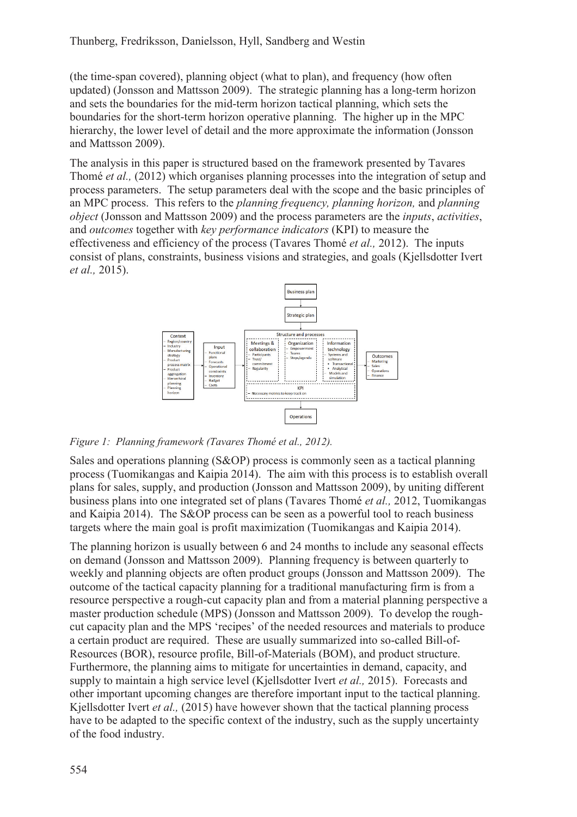(the time-span covered), planning object (what to plan), and frequency (how often updated) (Jonsson and Mattsson 2009). The strategic planning has a long-term horizon and sets the boundaries for the mid-term horizon tactical planning, which sets the boundaries for the short-term horizon operative planning. The higher up in the MPC hierarchy, the lower level of detail and the more approximate the information (Jonsson and Mattsson 2009).

The analysis in this paper is structured based on the framework presented by Tavares Thomé *et al.,* (2012) which organises planning processes into the integration of setup and process parameters. The setup parameters deal with the scope and the basic principles of an MPC process. This refers to the *planning frequency, planning horizon,* and *planning object* (Jonsson and Mattsson 2009) and the process parameters are the *inputs*, *activities*, and *outcomes* together with *key performance indicators* (KPI) to measure the effectiveness and efficiency of the process (Tavares Thomé *et al.,* 2012). The inputs consist of plans, constraints, business visions and strategies, and goals (Kjellsdotter Ivert *et al.,* 2015).



*Figure 1: Planning framework (Tavares Thomé et al., 2012).* 

Sales and operations planning (S&OP) process is commonly seen as a tactical planning process (Tuomikangas and Kaipia 2014). The aim with this process is to establish overall plans for sales, supply, and production (Jonsson and Mattsson 2009), by uniting different business plans into one integrated set of plans (Tavares Thomé *et al.,* 2012, Tuomikangas and Kaipia 2014). The S&OP process can be seen as a powerful tool to reach business targets where the main goal is profit maximization (Tuomikangas and Kaipia 2014).

The planning horizon is usually between 6 and 24 months to include any seasonal effects on demand (Jonsson and Mattsson 2009). Planning frequency is between quarterly to weekly and planning objects are often product groups (Jonsson and Mattsson 2009). The outcome of the tactical capacity planning for a traditional manufacturing firm is from a resource perspective a rough-cut capacity plan and from a material planning perspective a master production schedule (MPS) (Jonsson and Mattsson 2009). To develop the roughcut capacity plan and the MPS 'recipes' of the needed resources and materials to produce a certain product are required. These are usually summarized into so-called Bill-of-Resources (BOR), resource profile, Bill-of-Materials (BOM), and product structure. Furthermore, the planning aims to mitigate for uncertainties in demand, capacity, and supply to maintain a high service level (Kjellsdotter Ivert *et al.,* 2015). Forecasts and other important upcoming changes are therefore important input to the tactical planning. Kjellsdotter Ivert *et al.,* (2015) have however shown that the tactical planning process have to be adapted to the specific context of the industry, such as the supply uncertainty of the food industry.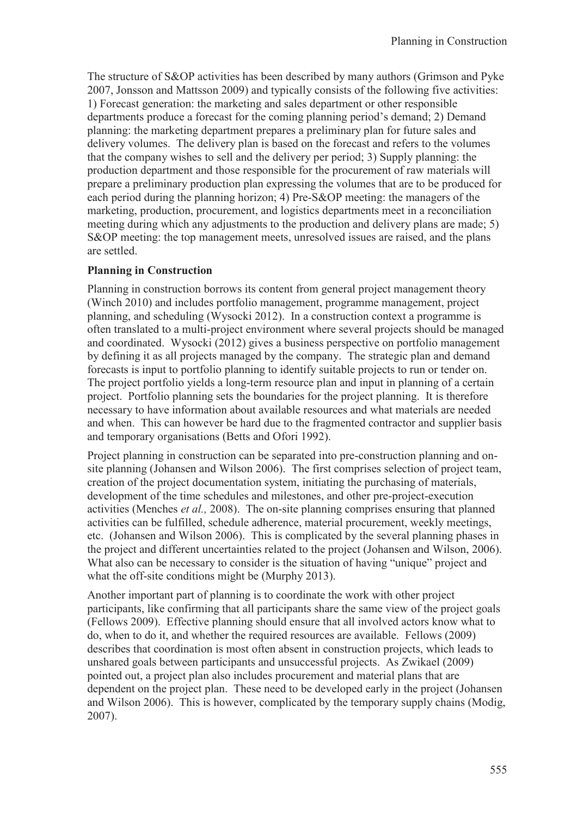The structure of S&OP activities has been described by many authors (Grimson and Pyke 2007, Jonsson and Mattsson 2009) and typically consists of the following five activities: 1) Forecast generation: the marketing and sales department or other responsible departments produce a forecast for the coming planning period's demand; 2) Demand planning: the marketing department prepares a preliminary plan for future sales and delivery volumes. The delivery plan is based on the forecast and refers to the volumes that the company wishes to sell and the delivery per period; 3) Supply planning: the production department and those responsible for the procurement of raw materials will prepare a preliminary production plan expressing the volumes that are to be produced for each period during the planning horizon; 4) Pre-S&OP meeting: the managers of the marketing, production, procurement, and logistics departments meet in a reconciliation meeting during which any adjustments to the production and delivery plans are made; 5) S&OP meeting: the top management meets, unresolved issues are raised, and the plans are settled.

#### **Planning in Construction**

Planning in construction borrows its content from general project management theory (Winch 2010) and includes portfolio management, programme management, project planning, and scheduling (Wysocki 2012). In a construction context a programme is often translated to a multi-project environment where several projects should be managed and coordinated. Wysocki (2012) gives a business perspective on portfolio management by defining it as all projects managed by the company. The strategic plan and demand forecasts is input to portfolio planning to identify suitable projects to run or tender on. The project portfolio yields a long-term resource plan and input in planning of a certain project. Portfolio planning sets the boundaries for the project planning. It is therefore necessary to have information about available resources and what materials are needed and when. This can however be hard due to the fragmented contractor and supplier basis and temporary organisations (Betts and Ofori 1992).

Project planning in construction can be separated into pre-construction planning and onsite planning (Johansen and Wilson 2006). The first comprises selection of project team, creation of the project documentation system, initiating the purchasing of materials, development of the time schedules and milestones, and other pre-project-execution activities (Menches *et al.,* 2008). The on-site planning comprises ensuring that planned activities can be fulfilled, schedule adherence, material procurement, weekly meetings, etc. (Johansen and Wilson 2006). This is complicated by the several planning phases in the project and different uncertainties related to the project (Johansen and Wilson, 2006). What also can be necessary to consider is the situation of having "unique" project and what the off-site conditions might be (Murphy 2013).

Another important part of planning is to coordinate the work with other project participants, like confirming that all participants share the same view of the project goals (Fellows 2009). Effective planning should ensure that all involved actors know what to do, when to do it, and whether the required resources are available. Fellows (2009) describes that coordination is most often absent in construction projects, which leads to unshared goals between participants and unsuccessful projects. As Zwikael (2009) pointed out, a project plan also includes procurement and material plans that are dependent on the project plan. These need to be developed early in the project (Johansen and Wilson 2006). This is however, complicated by the temporary supply chains (Modig, 2007).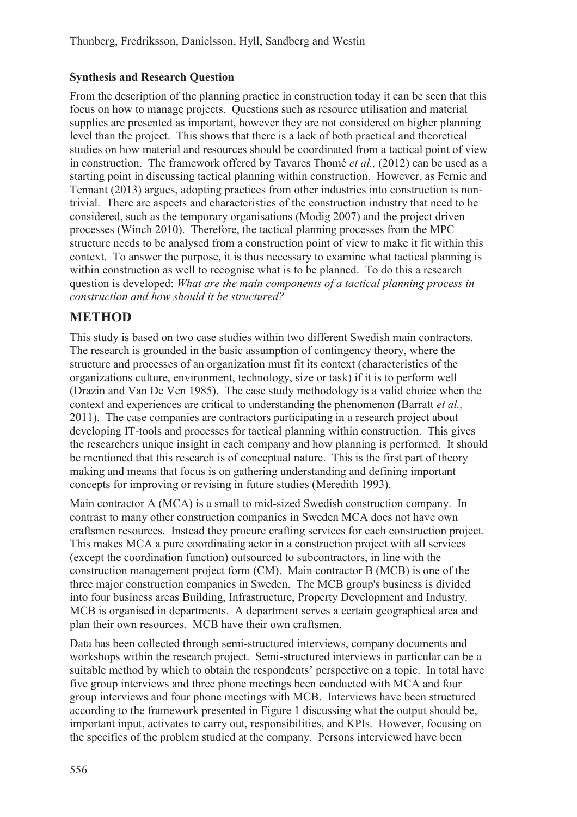### **Synthesis and Research Question**

From the description of the planning practice in construction today it can be seen that this focus on how to manage projects. Questions such as resource utilisation and material supplies are presented as important, however they are not considered on higher planning level than the project. This shows that there is a lack of both practical and theoretical studies on how material and resources should be coordinated from a tactical point of view in construction. The framework offered by Tavares Thomé *et al.,* (2012) can be used as a starting point in discussing tactical planning within construction. However, as Fernie and Tennant (2013) argues, adopting practices from other industries into construction is nontrivial. There are aspects and characteristics of the construction industry that need to be considered, such as the temporary organisations (Modig 2007) and the project driven processes (Winch 2010). Therefore, the tactical planning processes from the MPC structure needs to be analysed from a construction point of view to make it fit within this context. To answer the purpose, it is thus necessary to examine what tactical planning is within construction as well to recognise what is to be planned. To do this a research question is developed: *What are the main components of a tactical planning process in construction and how should it be structured?*

# **METHOD**

This study is based on two case studies within two different Swedish main contractors. The research is grounded in the basic assumption of contingency theory, where the structure and processes of an organization must fit its context (characteristics of the organizations culture, environment, technology, size or task) if it is to perform well (Drazin and Van De Ven 1985). The case study methodology is a valid choice when the context and experiences are critical to understanding the phenomenon (Barratt *et al.,*  2011). The case companies are contractors participating in a research project about developing IT-tools and processes for tactical planning within construction. This gives the researchers unique insight in each company and how planning is performed. It should be mentioned that this research is of conceptual nature. This is the first part of theory making and means that focus is on gathering understanding and defining important concepts for improving or revising in future studies (Meredith 1993).

Main contractor A (MCA) is a small to mid-sized Swedish construction company. In contrast to many other construction companies in Sweden MCA does not have own craftsmen resources. Instead they procure crafting services for each construction project. This makes MCA a pure coordinating actor in a construction project with all services (except the coordination function) outsourced to subcontractors, in line with the construction management project form (CM). Main contractor B (MCB) is one of the three major construction companies in Sweden. The MCB group's business is divided into four business areas Building, Infrastructure, Property Development and Industry. MCB is organised in departments. A department serves a certain geographical area and plan their own resources. MCB have their own craftsmen.

Data has been collected through semi-structured interviews, company documents and workshops within the research project. Semi-structured interviews in particular can be a suitable method by which to obtain the respondents' perspective on a topic. In total have five group interviews and three phone meetings been conducted with MCA and four group interviews and four phone meetings with MCB. Interviews have been structured according to the framework presented in Figure 1 discussing what the output should be, important input, activates to carry out, responsibilities, and KPIs. However, focusing on the specifics of the problem studied at the company. Persons interviewed have been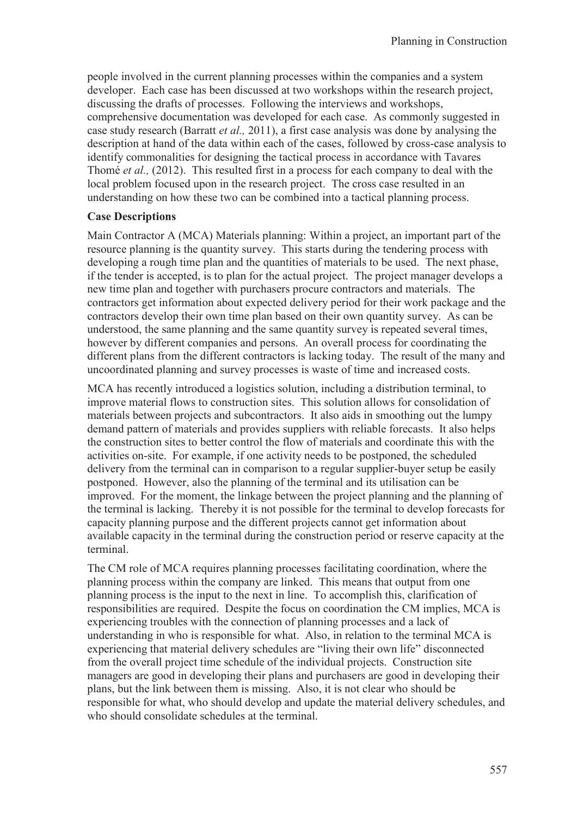people involved in the current planning processes within the companies and a system developer. Each case has been discussed at two workshops within the research project, discussing the drafts of processes. Following the interviews and workshops, comprehensive documentation was developed for each case. As commonly suggested in case study research (Barratt *et al.,* 2011), a first case analysis was done by analysing the description at hand of the data within each of the cases, followed by cross-case analysis to identify commonalities for designing the tactical process in accordance with Tavares Thomé *et al.,* (2012). This resulted first in a process for each company to deal with the local problem focused upon in the research project. The cross case resulted in an understanding on how these two can be combined into a tactical planning process.

#### **Case Descriptions**

Main Contractor A (MCA) Materials planning: Within a project, an important part of the resource planning is the quantity survey. This starts during the tendering process with developing a rough time plan and the quantities of materials to be used. The next phase, if the tender is accepted, is to plan for the actual project. The project manager develops a new time plan and together with purchasers procure contractors and materials. The contractors get information about expected delivery period for their work package and the contractors develop their own time plan based on their own quantity survey. As can be understood, the same planning and the same quantity survey is repeated several times, however by different companies and persons. An overall process for coordinating the different plans from the different contractors is lacking today. The result of the many and uncoordinated planning and survey processes is waste of time and increased costs.

MCA has recently introduced a logistics solution, including a distribution terminal, to improve material flows to construction sites. This solution allows for consolidation of materials between projects and subcontractors. It also aids in smoothing out the lumpy demand pattern of materials and provides suppliers with reliable forecasts. It also helps the construction sites to better control the flow of materials and coordinate this with the activities on-site. For example, if one activity needs to be postponed, the scheduled delivery from the terminal can in comparison to a regular supplier-buyer setup be easily postponed. However, also the planning of the terminal and its utilisation can be improved. For the moment, the linkage between the project planning and the planning of the terminal is lacking. Thereby it is not possible for the terminal to develop forecasts for capacity planning purpose and the different projects cannot get information about available capacity in the terminal during the construction period or reserve capacity at the terminal.

The CM role of MCA requires planning processes facilitating coordination, where the planning process within the company are linked. This means that output from one planning process is the input to the next in line. To accomplish this, clarification of responsibilities are required. Despite the focus on coordination the CM implies, MCA is experiencing troubles with the connection of planning processes and a lack of understanding in who is responsible for what. Also, in relation to the terminal MCA is experiencing that material delivery schedules are "living their own life" disconnected from the overall project time schedule of the individual projects. Construction site managers are good in developing their plans and purchasers are good in developing their plans, but the link between them is missing. Also, it is not clear who should be responsible for what, who should develop and update the material delivery schedules, and who should consolidate schedules at the terminal.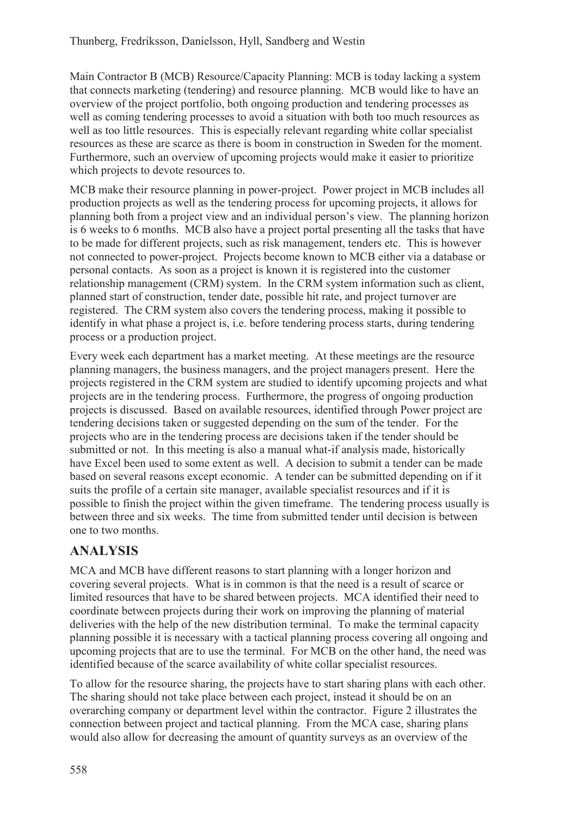Main Contractor B (MCB) Resource/Capacity Planning: MCB is today lacking a system that connects marketing (tendering) and resource planning. MCB would like to have an overview of the project portfolio, both ongoing production and tendering processes as well as coming tendering processes to avoid a situation with both too much resources as well as too little resources. This is especially relevant regarding white collar specialist resources as these are scarce as there is boom in construction in Sweden for the moment. Furthermore, such an overview of upcoming projects would make it easier to prioritize which projects to devote resources to.

MCB make their resource planning in power-project. Power project in MCB includes all production projects as well as the tendering process for upcoming projects, it allows for planning both from a project view and an individual person's view. The planning horizon is 6 weeks to 6 months. MCB also have a project portal presenting all the tasks that have to be made for different projects, such as risk management, tenders etc. This is however not connected to power-project. Projects become known to MCB either via a database or personal contacts. As soon as a project is known it is registered into the customer relationship management (CRM) system. In the CRM system information such as client, planned start of construction, tender date, possible hit rate, and project turnover are registered. The CRM system also covers the tendering process, making it possible to identify in what phase a project is, i.e. before tendering process starts, during tendering process or a production project.

Every week each department has a market meeting. At these meetings are the resource planning managers, the business managers, and the project managers present. Here the projects registered in the CRM system are studied to identify upcoming projects and what projects are in the tendering process. Furthermore, the progress of ongoing production projects is discussed. Based on available resources, identified through Power project are tendering decisions taken or suggested depending on the sum of the tender. For the projects who are in the tendering process are decisions taken if the tender should be submitted or not. In this meeting is also a manual what-if analysis made, historically have Excel been used to some extent as well. A decision to submit a tender can be made based on several reasons except economic. A tender can be submitted depending on if it suits the profile of a certain site manager, available specialist resources and if it is possible to finish the project within the given timeframe. The tendering process usually is between three and six weeks. The time from submitted tender until decision is between one to two months.

# **ANALYSIS**

MCA and MCB have different reasons to start planning with a longer horizon and covering several projects. What is in common is that the need is a result of scarce or limited resources that have to be shared between projects. MCA identified their need to coordinate between projects during their work on improving the planning of material deliveries with the help of the new distribution terminal. To make the terminal capacity planning possible it is necessary with a tactical planning process covering all ongoing and upcoming projects that are to use the terminal. For MCB on the other hand, the need was identified because of the scarce availability of white collar specialist resources.

To allow for the resource sharing, the projects have to start sharing plans with each other. The sharing should not take place between each project, instead it should be on an overarching company or department level within the contractor. Figure 2 illustrates the connection between project and tactical planning. From the MCA case, sharing plans would also allow for decreasing the amount of quantity surveys as an overview of the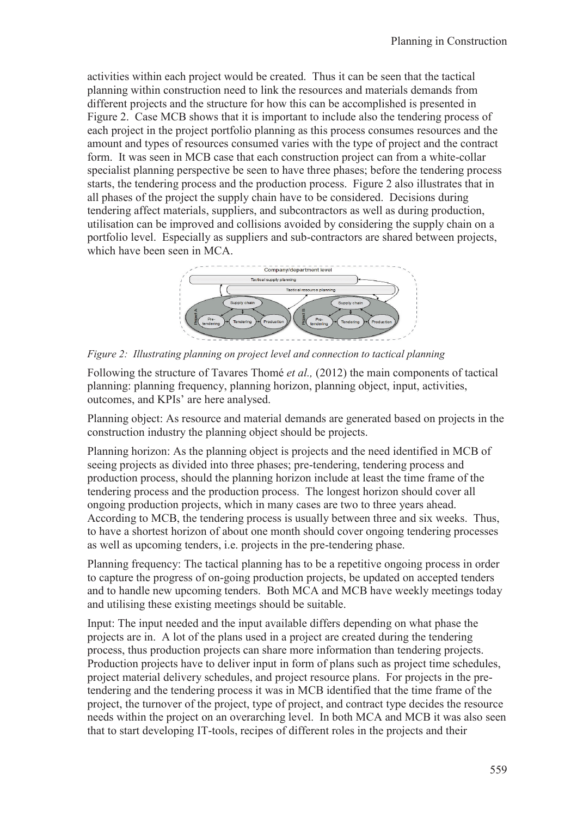activities within each project would be created. Thus it can be seen that the tactical planning within construction need to link the resources and materials demands from different projects and the structure for how this can be accomplished is presented in Figure 2. Case MCB shows that it is important to include also the tendering process of each project in the project portfolio planning as this process consumes resources and the amount and types of resources consumed varies with the type of project and the contract form. It was seen in MCB case that each construction project can from a white-collar specialist planning perspective be seen to have three phases; before the tendering process starts, the tendering process and the production process. Figure 2 also illustrates that in all phases of the project the supply chain have to be considered. Decisions during tendering affect materials, suppliers, and subcontractors as well as during production, utilisation can be improved and collisions avoided by considering the supply chain on a portfolio level. Especially as suppliers and sub-contractors are shared between projects, which have been seen in MCA.



*Figure 2: Illustrating planning on project level and connection to tactical planning* 

Following the structure of Tavares Thomé *et al.,* (2012) the main components of tactical planning: planning frequency, planning horizon, planning object, input, activities, outcomes, and KPIs' are here analysed.

Planning object: As resource and material demands are generated based on projects in the construction industry the planning object should be projects.

Planning horizon: As the planning object is projects and the need identified in MCB of seeing projects as divided into three phases; pre-tendering, tendering process and production process, should the planning horizon include at least the time frame of the tendering process and the production process. The longest horizon should cover all ongoing production projects, which in many cases are two to three years ahead. According to MCB, the tendering process is usually between three and six weeks. Thus, to have a shortest horizon of about one month should cover ongoing tendering processes as well as upcoming tenders, i.e. projects in the pre-tendering phase.

Planning frequency: The tactical planning has to be a repetitive ongoing process in order to capture the progress of on-going production projects, be updated on accepted tenders and to handle new upcoming tenders. Both MCA and MCB have weekly meetings today and utilising these existing meetings should be suitable.

Input: The input needed and the input available differs depending on what phase the projects are in. A lot of the plans used in a project are created during the tendering process, thus production projects can share more information than tendering projects. Production projects have to deliver input in form of plans such as project time schedules, project material delivery schedules, and project resource plans. For projects in the pretendering and the tendering process it was in MCB identified that the time frame of the project, the turnover of the project, type of project, and contract type decides the resource needs within the project on an overarching level. In both MCA and MCB it was also seen that to start developing IT-tools, recipes of different roles in the projects and their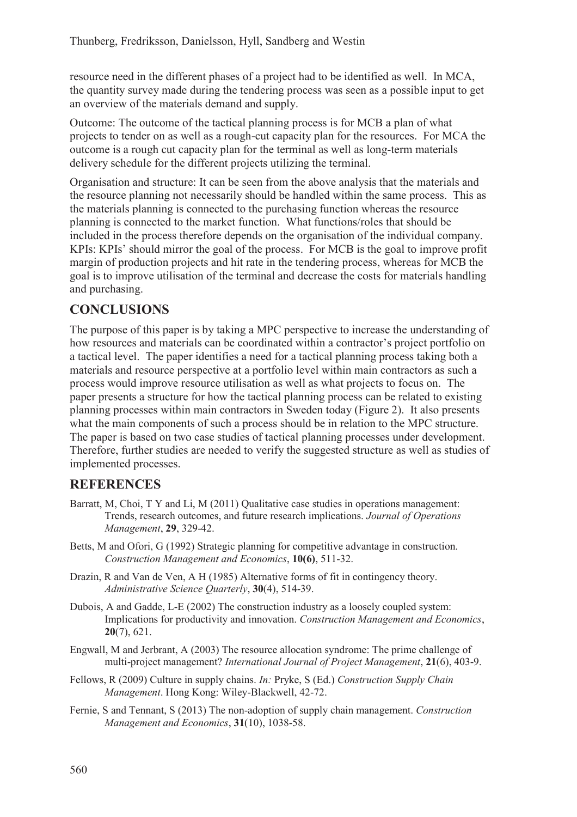resource need in the different phases of a project had to be identified as well. In MCA, the quantity survey made during the tendering process was seen as a possible input to get an overview of the materials demand and supply.

Outcome: The outcome of the tactical planning process is for MCB a plan of what projects to tender on as well as a rough-cut capacity plan for the resources. For MCA the outcome is a rough cut capacity plan for the terminal as well as long-term materials delivery schedule for the different projects utilizing the terminal.

Organisation and structure: It can be seen from the above analysis that the materials and the resource planning not necessarily should be handled within the same process. This as the materials planning is connected to the purchasing function whereas the resource planning is connected to the market function. What functions/roles that should be included in the process therefore depends on the organisation of the individual company. KPIs: KPIs' should mirror the goal of the process. For MCB is the goal to improve profit margin of production projects and hit rate in the tendering process, whereas for MCB the goal is to improve utilisation of the terminal and decrease the costs for materials handling and purchasing.

# **CONCLUSIONS**

The purpose of this paper is by taking a MPC perspective to increase the understanding of how resources and materials can be coordinated within a contractor's project portfolio on a tactical level. The paper identifies a need for a tactical planning process taking both a materials and resource perspective at a portfolio level within main contractors as such a process would improve resource utilisation as well as what projects to focus on. The paper presents a structure for how the tactical planning process can be related to existing planning processes within main contractors in Sweden today (Figure 2). It also presents what the main components of such a process should be in relation to the MPC structure. The paper is based on two case studies of tactical planning processes under development. Therefore, further studies are needed to verify the suggested structure as well as studies of implemented processes.

### **REFERENCES**

- Barratt, M, Choi, T Y and Li, M (2011) Qualitative case studies in operations management: Trends, research outcomes, and future research implications. *Journal of Operations Management*, **29**, 329-42.
- Betts, M and Ofori, G (1992) Strategic planning for competitive advantage in construction. *Construction Management and Economics*, **10(6)**, 511-32.
- Drazin, R and Van de Ven, A H (1985) Alternative forms of fit in contingency theory. *Administrative Science Quarterly*, **30**(4), 514-39.
- Dubois, A and Gadde, L-E (2002) The construction industry as a loosely coupled system: Implications for productivity and innovation. *Construction Management and Economics*, **20**(7), 621.
- Engwall, M and Jerbrant, A (2003) The resource allocation syndrome: The prime challenge of multi-project management? *International Journal of Project Management*, **21**(6), 403-9.
- Fellows, R (2009) Culture in supply chains. *In:* Pryke, S (Ed.) *Construction Supply Chain Management*. Hong Kong: Wiley-Blackwell, 42-72.
- Fernie, S and Tennant, S (2013) The non-adoption of supply chain management. *Construction Management and Economics*, **31**(10), 1038-58.